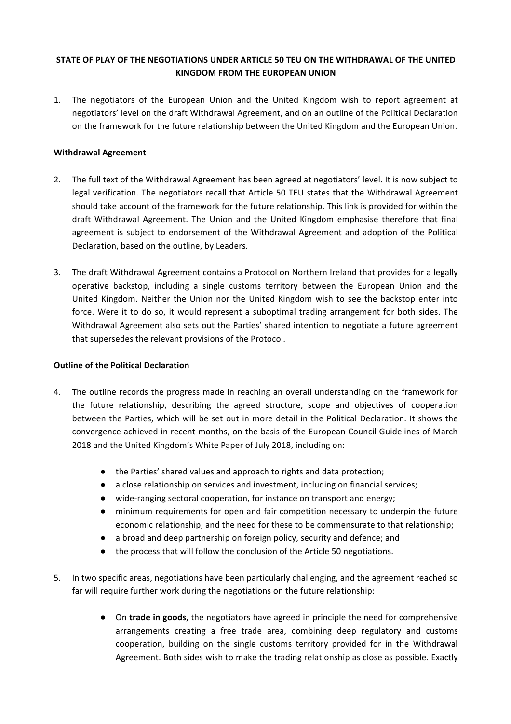## **STATE OF PLAY OF THE NEGOTIATIONS UNDER ARTICLE 50 TEU ON THE WITHDRAWAL OF THE UNITED KINGDOM FROM THE FUROPEAN UNION**

1. The negotiators of the European Union and the United Kingdom wish to report agreement at negotiators' level on the draft Withdrawal Agreement, and on an outline of the Political Declaration on the framework for the future relationship between the United Kingdom and the European Union.

## **Withdrawal Agreement**

- 2. The full text of the Withdrawal Agreement has been agreed at negotiators' level. It is now subject to legal verification. The negotiators recall that Article 50 TEU states that the Withdrawal Agreement should take account of the framework for the future relationship. This link is provided for within the draft Withdrawal Agreement. The Union and the United Kingdom emphasise therefore that final agreement is subject to endorsement of the Withdrawal Agreement and adoption of the Political Declaration, based on the outline, by Leaders.
- 3. The draft Withdrawal Agreement contains a Protocol on Northern Ireland that provides for a legally operative backstop, including a single customs territory between the European Union and the United Kingdom. Neither the Union nor the United Kingdom wish to see the backstop enter into force. Were it to do so, it would represent a suboptimal trading arrangement for both sides. The Withdrawal Agreement also sets out the Parties' shared intention to negotiate a future agreement that supersedes the relevant provisions of the Protocol.

## **Outline of the Political Declaration**

- 4. The outline records the progress made in reaching an overall understanding on the framework for the future relationship, describing the agreed structure, scope and objectives of cooperation between the Parties, which will be set out in more detail in the Political Declaration. It shows the convergence achieved in recent months, on the basis of the European Council Guidelines of March 2018 and the United Kingdom's White Paper of July 2018, including on:
	- the Parties' shared values and approach to rights and data protection;
	- $\bullet$  a close relationship on services and investment, including on financial services;
	- wide-ranging sectoral cooperation, for instance on transport and energy;
	- minimum requirements for open and fair competition necessary to underpin the future economic relationship, and the need for these to be commensurate to that relationship;
	- a broad and deep partnership on foreign policy, security and defence; and
	- the process that will follow the conclusion of the Article 50 negotiations.
- 5. In two specific areas, negotiations have been particularly challenging, and the agreement reached so far will require further work during the negotiations on the future relationship:
	- On **trade in goods**, the negotiators have agreed in principle the need for comprehensive arrangements creating a free trade area, combining deep regulatory and customs cooperation, building on the single customs territory provided for in the Withdrawal Agreement. Both sides wish to make the trading relationship as close as possible. Exactly